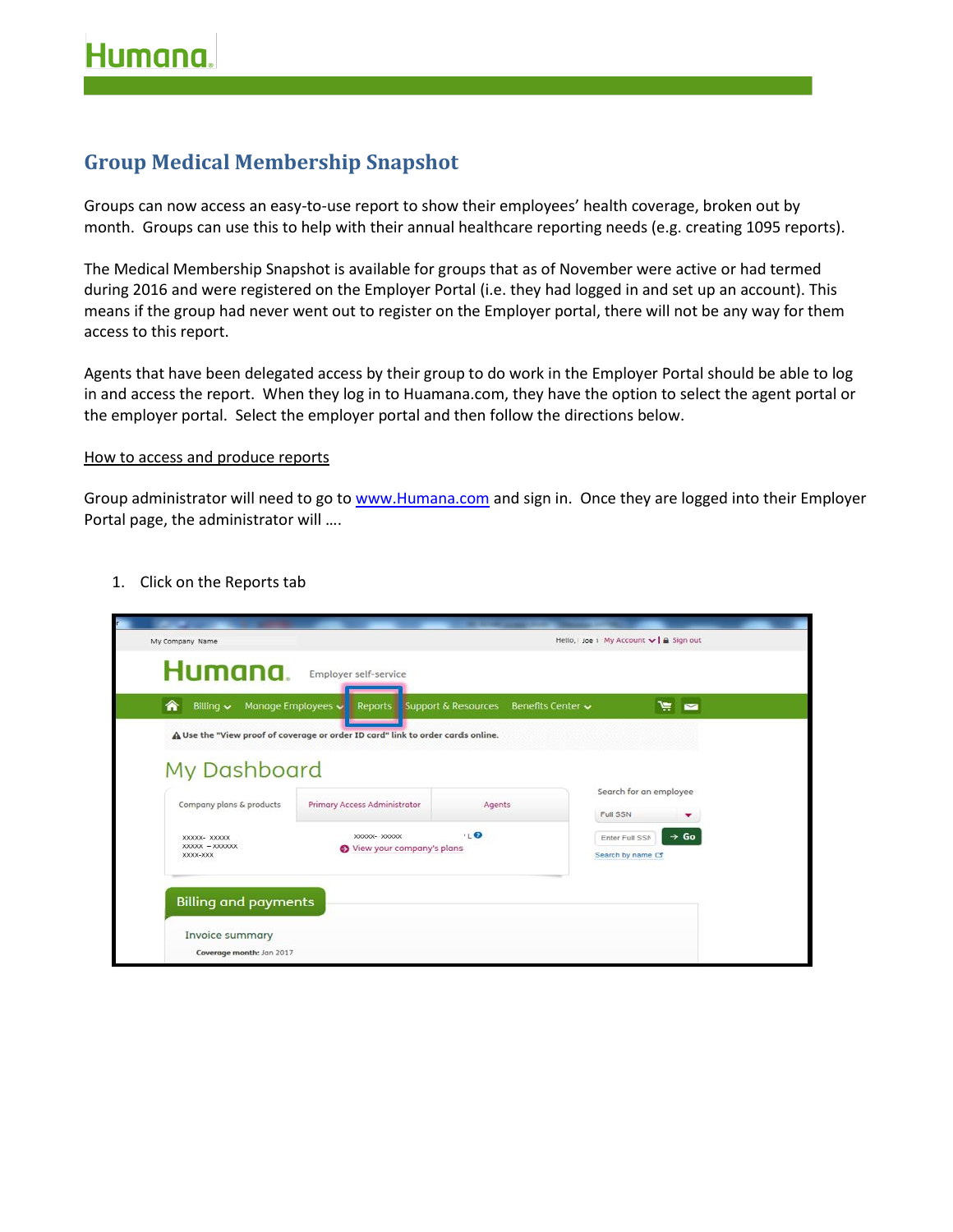## **Group Medical Membership Snapshot**

Groups can now access an easy-to-use report to show their employees' health coverage, broken out by month. Groups can use this to help with their annual healthcare reporting needs (e.g. creating 1095 reports).

The Medical Membership Snapshot is available for groups that as of November were active or had termed during 2016 and were registered on the Employer Portal (i.e. they had logged in and set up an account). This means if the group had never went out to register on the Employer portal, there will not be any way for them access to this report.

Agents that have been delegated access by their group to do work in the Employer Portal should be able to log in and access the report. When they log in to Huamana.com, they have the option to select the agent portal or the employer portal. Select the employer portal and then follow the directions below.

## How to access and produce reports

Group administrator will need to go to [www.Humana.com](http://www.humana.com/) and sign in. Once they are logged into their Employer Portal page, the administrator will ….

1. Click on the Reports tab

| My Company Name                              |                                                                                 |                   | Hello, Joe 1 My Account v   a Sign out                  |
|----------------------------------------------|---------------------------------------------------------------------------------|-------------------|---------------------------------------------------------|
| Humana.                                      | Employer self-service                                                           |                   |                                                         |
| €<br>Manage Employees<br>Billing $\sim$      | Reports Support & Resources                                                     | Benefits Center ~ | $\mathbb{R}$ $\mathbb{Z}$                               |
|                                              | A Use the "View proof of coverage or order ID card" link to order cards online. |                   |                                                         |
| My Dashboard                                 |                                                                                 |                   |                                                         |
| Company plans & products                     | Primary Access Administrator                                                    | Agents            | Search for an employee<br>Full SSN                      |
| XXXXX- XXXXXX<br>XXXXX - XXXXXXX<br>XXXX-XXX | XXXXX- XXXXXX<br>View your company's plans                                      | 10                | $\rightarrow$ Go<br>Enter Full SSM<br>Search by name Cf |
|                                              |                                                                                 |                   |                                                         |
| <b>Billing and payments</b>                  |                                                                                 |                   |                                                         |
| Invoice summary<br>Coverage month: Jon 2017  |                                                                                 |                   |                                                         |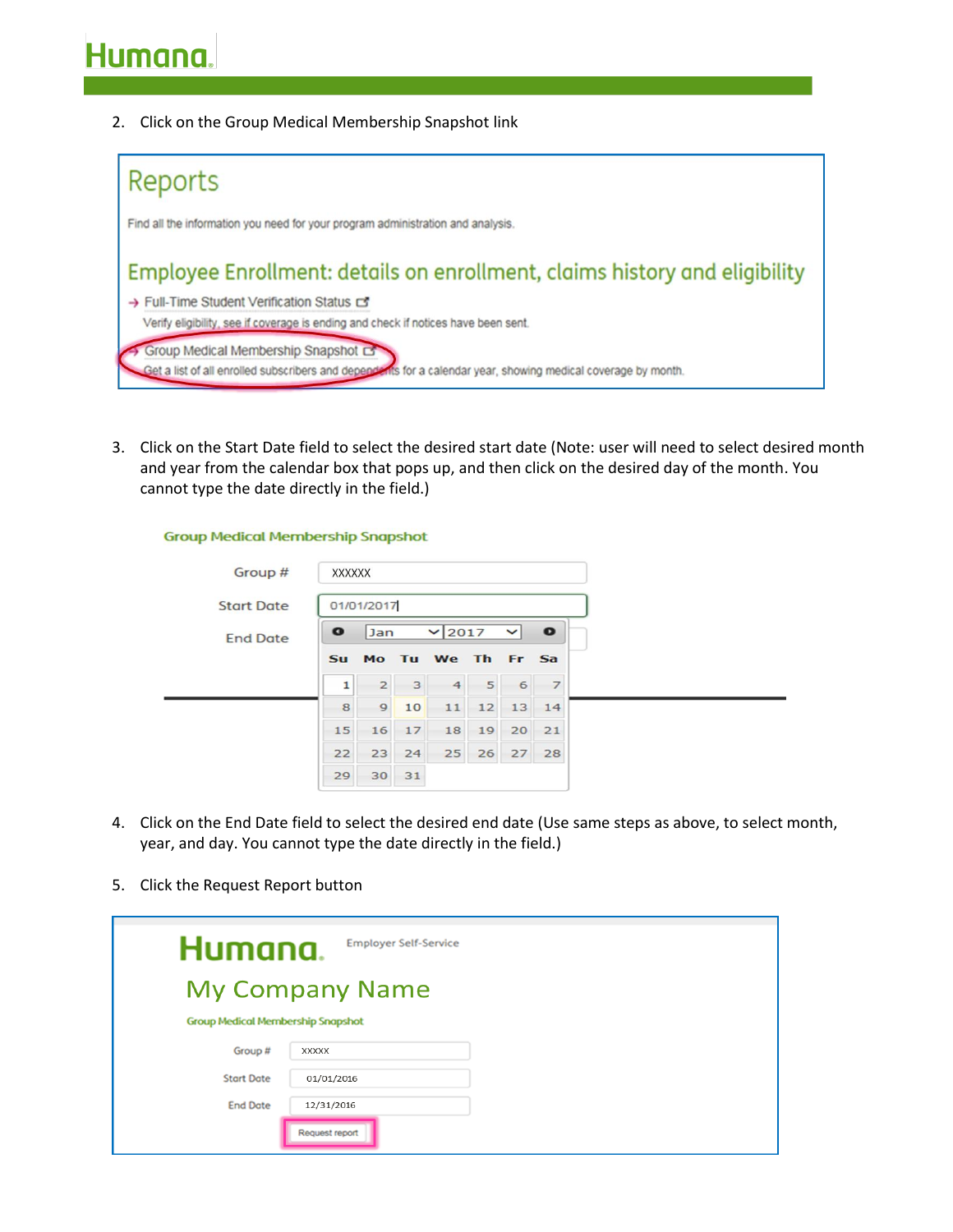2. Click on the Group Medical Membership Snapshot link

**Group Medical Membership Snapshot** 



3. Click on the Start Date field to select the desired start date (Note: user will need to select desired month and year from the calendar box that pops up, and then click on the desired day of the month. You cannot type the date directly in the field.)

| Group #           | <b>XXXXXX</b> |                |    |                   |    |                |                |
|-------------------|---------------|----------------|----|-------------------|----|----------------|----------------|
| <b>Start Date</b> |               | 01/01/2017     |    |                   |    |                |                |
| <b>End Date</b>   | $\bullet$     | Jan            |    | $\vee$ 2017       |    | ◡              | $\bullet$      |
|                   | <b>Su</b>     |                |    | Mo Tu We Th Fr Sa |    |                |                |
|                   | 1             | $\overline{2}$ | 3  | $\overline{4}$    | 5  | 6 <sup>1</sup> | $\overline{7}$ |
|                   | 8             | 9              | 10 | 11                |    | 12 13 14       |                |
|                   | 15            | 16             | 17 | 18                | 19 | 20             | 21             |
|                   | 22            | 23             | 24 | 25                | 26 | 27             | 28             |
|                   | 29            | 30             | 31 |                   |    |                |                |

- 4. Click on the End Date field to select the desired end date (Use same steps as above, to select month, year, and day. You cannot type the date directly in the field.)
- 5. Click the Request Report button

| Humana.                                  | <b>Employer Self-Service</b> |
|------------------------------------------|------------------------------|
|                                          | <b>My Company Name</b>       |
| <b>Group Medical Membership Snapshot</b> |                              |
| Group #                                  | <b>XXXXX</b>                 |
| <b>Start Date</b>                        | 01/01/2016                   |
| <b>End Date</b>                          | 12/31/2016                   |
|                                          | Request report               |